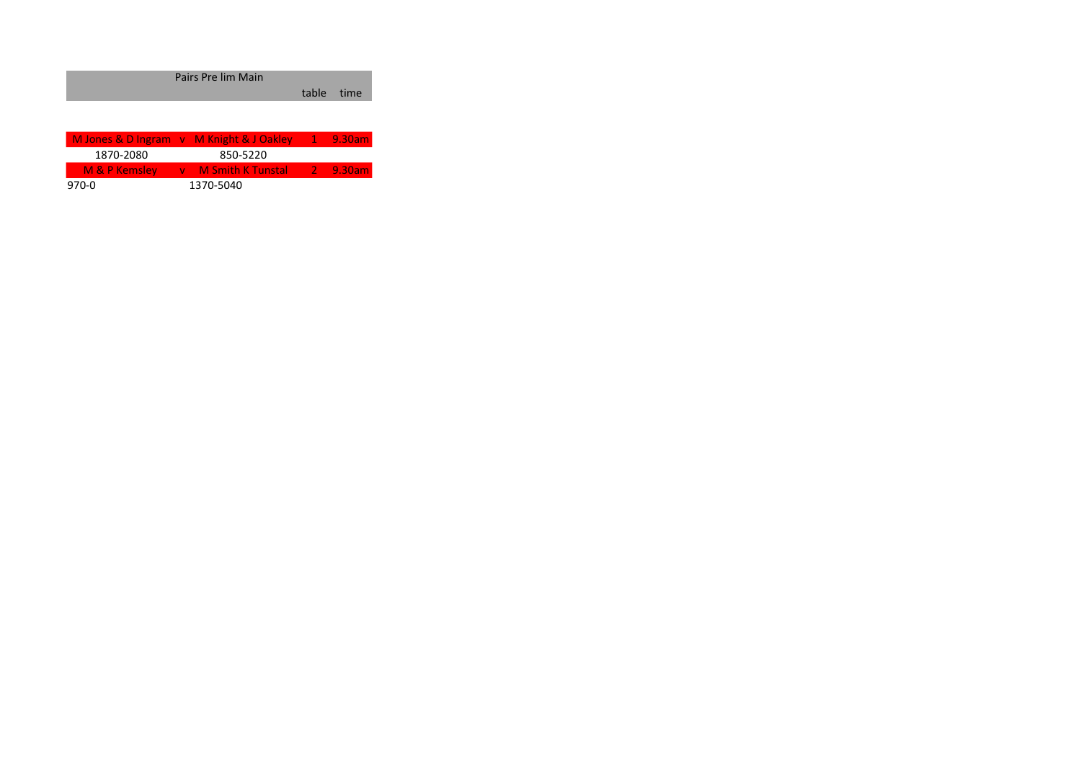| Pairs Pre lim Main |            |  |
|--------------------|------------|--|
|                    | table time |  |
|                    |            |  |

| M Jones & D Ingram v M Knight & J Oakley |                                           | $-1$ 9.30am |
|------------------------------------------|-------------------------------------------|-------------|
| 1870-2080                                | 850-5220                                  |             |
| $M$ & P Kemsley                          | <b>No. 3 M Smith K Tunstal 2 2 9.30am</b> |             |
| 970-0                                    | 1370-5040                                 |             |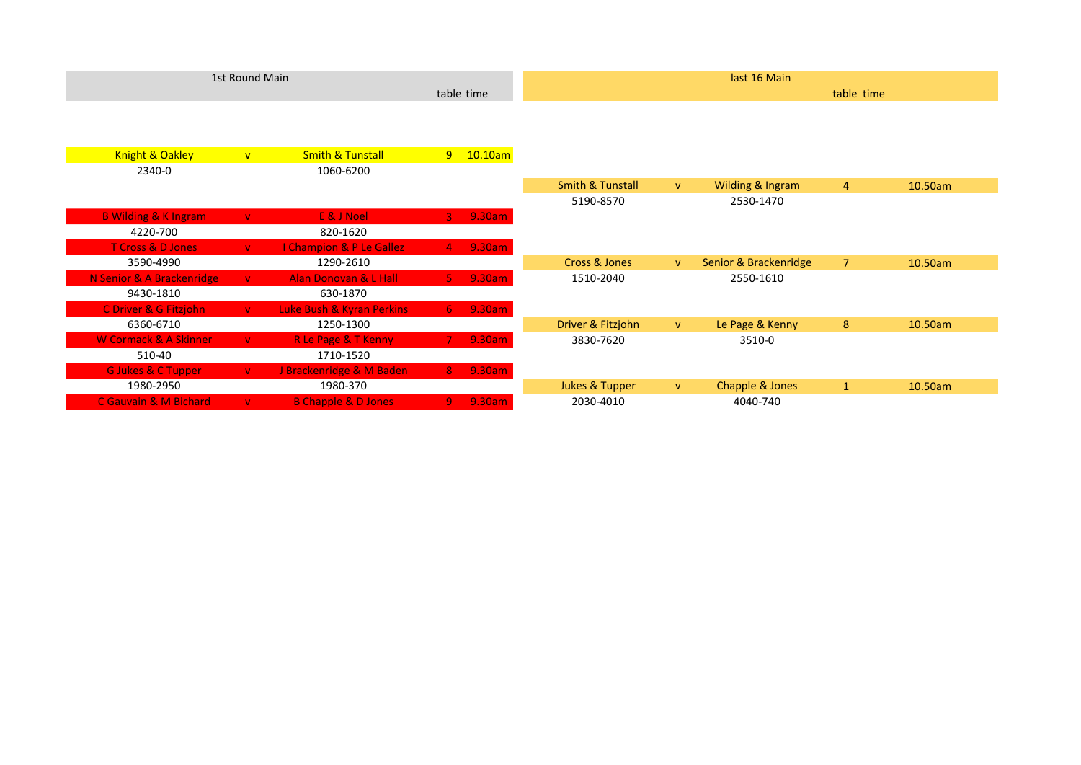|                                  | 1st Round Main |                                |                |                          | last 16 Main                |   |                       |                |         |
|----------------------------------|----------------|--------------------------------|----------------|--------------------------|-----------------------------|---|-----------------------|----------------|---------|
|                                  |                |                                |                | table time<br>table time |                             |   |                       |                |         |
|                                  |                |                                |                |                          |                             |   |                       |                |         |
|                                  |                |                                |                |                          |                             |   |                       |                |         |
| <b>Knight &amp; Oakley</b>       | V              | <b>Smith &amp; Tunstall</b>    |                | $9 - 10.10$ am           |                             |   |                       |                |         |
| 2340-0                           |                | 1060-6200                      |                |                          |                             |   |                       |                |         |
|                                  |                |                                |                |                          | <b>Smith &amp; Tunstall</b> | V | Wilding & Ingram      | $\overline{4}$ | 10.50am |
|                                  |                |                                |                |                          | 5190-8570                   |   | 2530-1470             |                |         |
| <b>B Wilding &amp; K Ingram</b>  | $\mathbf{V}$   | E & J Noel                     | $3 -$          | 9.30am                   |                             |   |                       |                |         |
| 4220-700                         |                | 820-1620                       |                |                          |                             |   |                       |                |         |
| <b>T Cross &amp; D Jones</b>     | V              | I Champion & P Le Gallez       |                | 4 9.30am                 |                             |   |                       |                |         |
| 3590-4990                        |                | 1290-2610                      |                |                          | Cross & Jones               | V | Senior & Brackenridge | 7 <sup>2</sup> | 10.50am |
| N Senior & A Brackenridge        | $\mathbf{V}$   | Alan Donovan & L Hall          |                | 5 9.30am                 | 1510-2040                   |   | 2550-1610             |                |         |
| 9430-1810                        |                | 630-1870                       |                |                          |                             |   |                       |                |         |
| C Driver & G Fitzjohn            | $\mathbf{V}$   | Luke Bush & Kyran Perkins      | $6 -$          | 9.30am                   |                             |   |                       |                |         |
| 6360-6710                        |                | 1250-1300                      |                |                          | Driver & Fitzjohn           | V | Le Page & Kenny       | 8              | 10.50am |
| <b>W Cormack &amp; A Skinner</b> | $\mathbf{V}$   | <b>R Le Page &amp; T Kenny</b> | $7 -$          | 9.30am                   | 3830-7620                   |   | 3510-0                |                |         |
| 510-40                           |                | 1710-1520                      |                |                          |                             |   |                       |                |         |
| <b>G Jukes &amp; C Tupper</b>    | $\mathbf{V}$   | J Brackenridge & M Baden       | $8 -$          | 9.30am                   |                             |   |                       |                |         |
| 1980-2950                        |                | 1980-370                       |                |                          | <b>Jukes &amp; Tupper</b>   | V | Chapple & Jones       | $\mathbf{1}$   | 10.50am |
| C Gauvain & M Bichard            | $\mathbf{V}$   | <b>B Chapple &amp; D Jones</b> | $\overline{9}$ | 9.30am                   | 2030-4010                   |   | 4040-740              |                |         |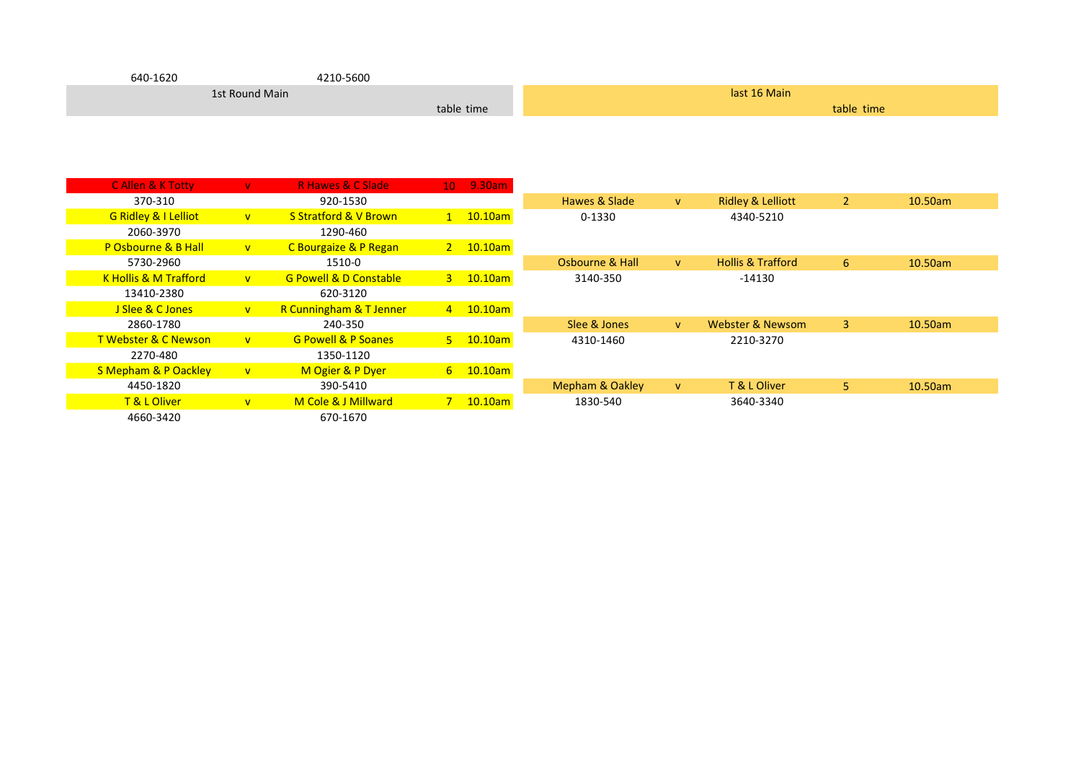| 640-1620       | 4210-5600  |              |
|----------------|------------|--------------|
| 1st Round Main |            | last 16 Main |
|                | table time | table time   |

| <b>CAllen &amp; K Totty</b>      | $\mathbf{V}$ | <b>R Hawes &amp; C Slade</b>      | 10 9.30am      |                            |              |                              |                |            |
|----------------------------------|--------------|-----------------------------------|----------------|----------------------------|--------------|------------------------------|----------------|------------|
| 370-310                          |              | 920-1530                          |                | Hawes & Slade              | <b>V</b>     | <b>Ridley &amp; Lelliott</b> | $\overline{2}$ | $10.50$ am |
| <b>G Ridley &amp; I Lelliot</b>  | V            | <b>S Stratford &amp; V Brown</b>  | $1$ 10.10am    | 0-1330                     |              | 4340-5210                    |                |            |
| 2060-3970                        |              | 1290-460                          |                |                            |              |                              |                |            |
| P Osbourne & B Hall              | $\mathbf{V}$ | <b>C</b> Bourgaize & P Regan      | 2 10.10am      |                            |              |                              |                |            |
| 5730-2960                        |              | 1510-0                            |                | Osbourne & Hall            | $\mathbf{V}$ | <b>Hollis &amp; Trafford</b> | 6              | 10.50am    |
| <b>K Hollis &amp; M Trafford</b> | V            | <b>G Powell &amp; D Constable</b> | $3 - 10.10$ am | 3140-350                   |              | -14130                       |                |            |
| 13410-2380                       |              | 620-3120                          |                |                            |              |                              |                |            |
| J Slee & C Jones                 | V            | R Cunningham & T Jenner           | 4 10.10am      |                            |              |                              |                |            |
| 2860-1780                        |              | 240-350                           |                | Slee & Jones               | v.           | Webster & Newsom             | 3              | 10.50am    |
| <b>T Webster &amp; C Newson</b>  | $\mathbf{V}$ | <b>G Powell &amp; P Soanes</b>    | $5 - 10.10$ am | 4310-1460                  |              | 2210-3270                    |                |            |
| 2270-480                         |              | 1350-1120                         |                |                            |              |                              |                |            |
| <b>S Mepham &amp; P Oackley</b>  | V            | M Ogier & P Dyer                  | $6 - 10.10$ am |                            |              |                              |                |            |
| 4450-1820                        |              | 390-5410                          |                | <b>Mepham &amp; Oakley</b> | $\mathsf{V}$ | T & L Oliver                 | 5.             | 10.50am    |
| T & L Oliver                     | V            | M Cole & J Millward               | $7 - 10.10$ am | 1830-540                   |              | 3640-3340                    |                |            |
| 4660-3420                        |              | 670-1670                          |                |                            |              |                              |                |            |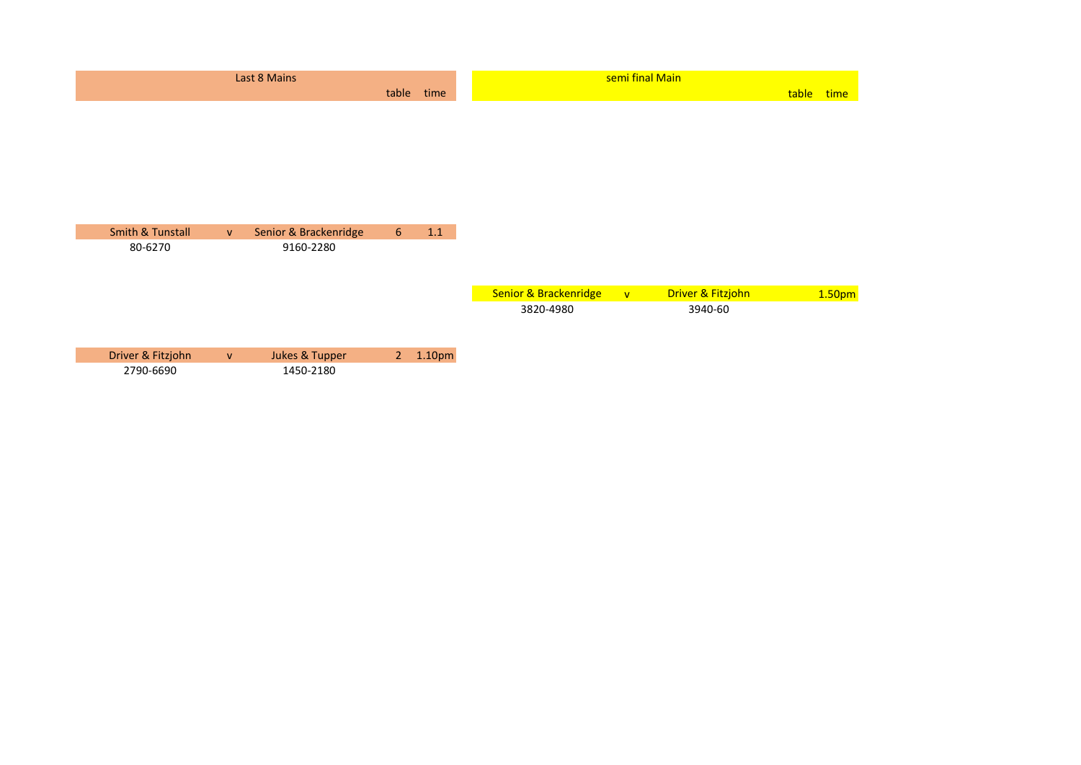| Last 8 Mains                |              |                       |                |        | semi final Main       |              |                   |       |        |
|-----------------------------|--------------|-----------------------|----------------|--------|-----------------------|--------------|-------------------|-------|--------|
|                             |              |                       | table          | time   |                       |              |                   | table | time   |
|                             |              |                       |                |        |                       |              |                   |       |        |
|                             |              |                       |                |        |                       |              |                   |       |        |
|                             |              |                       |                |        |                       |              |                   |       |        |
|                             |              |                       |                |        |                       |              |                   |       |        |
|                             |              |                       |                |        |                       |              |                   |       |        |
|                             |              |                       |                |        |                       |              |                   |       |        |
| <b>Smith &amp; Tunstall</b> | $\mathsf{V}$ | Senior & Brackenridge | 6 <sup>1</sup> | 1.1    |                       |              |                   |       |        |
| 80-6270                     |              | 9160-2280             |                |        |                       |              |                   |       |        |
|                             |              |                       |                |        |                       |              |                   |       |        |
|                             |              |                       |                |        |                       |              |                   |       |        |
|                             |              |                       |                |        | Senior & Brackenridge | $\mathbf{V}$ | Driver & Fitzjohn |       | 1.50pm |
|                             |              |                       |                |        | 3820-4980             |              | 3940-60           |       |        |
|                             |              |                       |                |        |                       |              |                   |       |        |
|                             |              |                       |                |        |                       |              |                   |       |        |
| Driver & Fitzjohn           | $\mathbf{V}$ | Jukes & Tupper        | 2 <sup>2</sup> | 1.10pm |                       |              |                   |       |        |
| 2790-6690                   |              | 1450-2180             |                |        |                       |              |                   |       |        |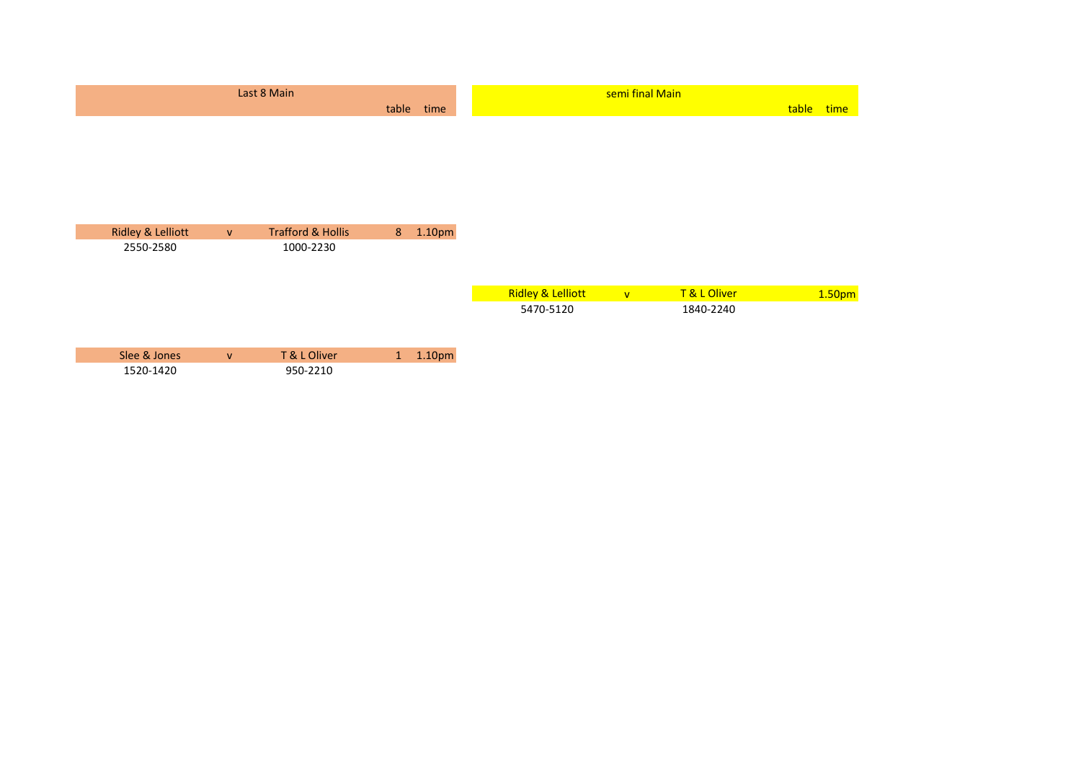|                              |              | Last 8 Main                  |                |        |                              | semi final Main |           |       |                    |
|------------------------------|--------------|------------------------------|----------------|--------|------------------------------|-----------------|-----------|-------|--------------------|
|                              |              |                              | table          | time   |                              |                 |           | table | time               |
|                              |              |                              |                |        |                              |                 |           |       |                    |
|                              |              |                              |                |        |                              |                 |           |       |                    |
|                              |              |                              |                |        |                              |                 |           |       |                    |
|                              |              |                              |                |        |                              |                 |           |       |                    |
|                              |              |                              |                |        |                              |                 |           |       |                    |
|                              |              |                              |                |        |                              |                 |           |       |                    |
| <b>Ridley &amp; Lelliott</b> | V            | <b>Trafford &amp; Hollis</b> | 8 <sup>1</sup> | 1.10pm |                              |                 |           |       |                    |
| 2550-2580                    |              | 1000-2230                    |                |        |                              |                 |           |       |                    |
|                              |              |                              |                |        |                              |                 |           |       |                    |
|                              |              |                              |                |        | <b>Ridley &amp; Lelliott</b> | V               | T&LOliver |       | 1.50 <sub>pm</sub> |
|                              |              |                              |                |        | 5470-5120                    |                 | 1840-2240 |       |                    |
|                              |              |                              |                |        |                              |                 |           |       |                    |
|                              |              |                              |                |        |                              |                 |           |       |                    |
| Slee & Jones                 | $\mathbf{v}$ | T & L Oliver                 | 1              | 1.10pm |                              |                 |           |       |                    |
| 1520-1420                    |              | 950-2210                     |                |        |                              |                 |           |       |                    |